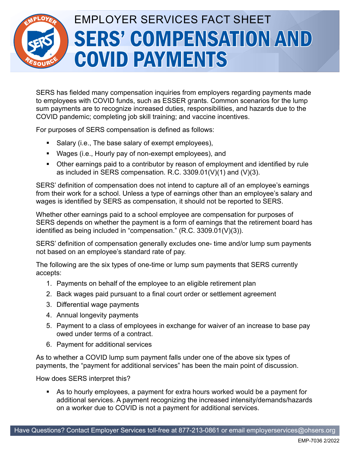## EMPLOYER SERVICES FACT SHEET SERS' COMPENSATION AND COVID PAYMENTS

SERS has fielded many compensation inquiries from employers regarding payments made to employees with COVID funds, such as ESSER grants. Common scenarios for the lump sum payments are to recognize increased duties, responsibilities, and hazards due to the COVID pandemic; completing job skill training; and vaccine incentives.

For purposes of SERS compensation is defined as follows:

- Salary (i.e., The base salary of exempt employees),
- Wages (i.e., Hourly pay of non-exempt employees), and
- Other earnings paid to a contributor by reason of employment and identified by rule as included in SERS compensation. R.C. 3309.01(V)(1) and (V)(3).

SERS' definition of compensation does not intend to capture all of an employee's earnings from their work for a school. Unless a type of earnings other than an employee's salary and wages is identified by SERS as compensation, it should not be reported to SERS.

Whether other earnings paid to a school employee are compensation for purposes of SERS depends on whether the payment is a form of earnings that the retirement board has identified as being included in "compensation." (R.C. 3309.01(V)(3)).

SERS' definition of compensation generally excludes one- time and/or lump sum payments not based on an employee's standard rate of pay.

The following are the six types of one-time or lump sum payments that SERS currently accepts:

- 1. Payments on behalf of the employee to an eligible retirement plan
- 2. Back wages paid pursuant to a final court order or settlement agreement
- 3. Differential wage payments
- 4. Annual longevity payments
- 5. Payment to a class of employees in exchange for waiver of an increase to base pay owed under terms of a contract.
- 6. Payment for additional services

As to whether a COVID lump sum payment falls under one of the above six types of payments, the "payment for additional services" has been the main point of discussion.

How does SERS interpret this?

 As to hourly employees, a payment for extra hours worked would be a payment for additional services. A payment recognizing the increased intensity/demands/hazards on a worker due to COVID is not a payment for additional services.